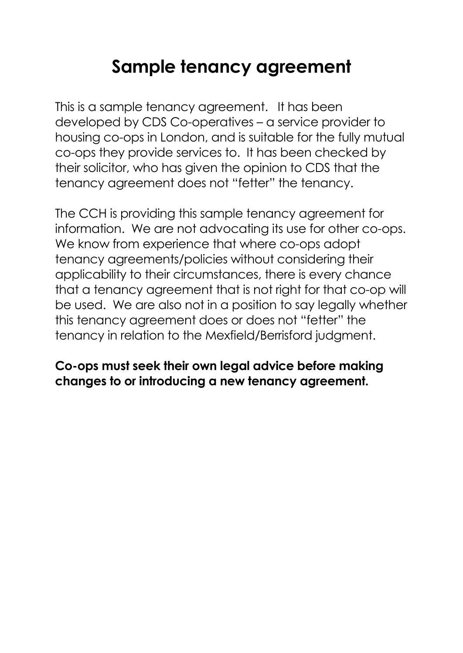# **Sample tenancy agreement**

This is a sample tenancy agreement. It has been developed by CDS Co-operatives – a service provider to housing co-ops in London, and is suitable for the fully mutual co-ops they provide services to. It has been checked by their solicitor, who has given the opinion to CDS that the tenancy agreement does not "fetter" the tenancy.

The CCH is providing this sample tenancy agreement for information. We are not advocating its use for other co-ops. We know from experience that where co-ops adopt tenancy agreements/policies without considering their applicability to their circumstances, there is every chance that a tenancy agreement that is not right for that co-op will be used. We are also not in a position to say legally whether this tenancy agreement does or does not "fetter" the tenancy in relation to the Mexfield/Berrisford judgment.

### **Co-ops must seek their own legal advice before making changes to or introducing a new tenancy agreement.**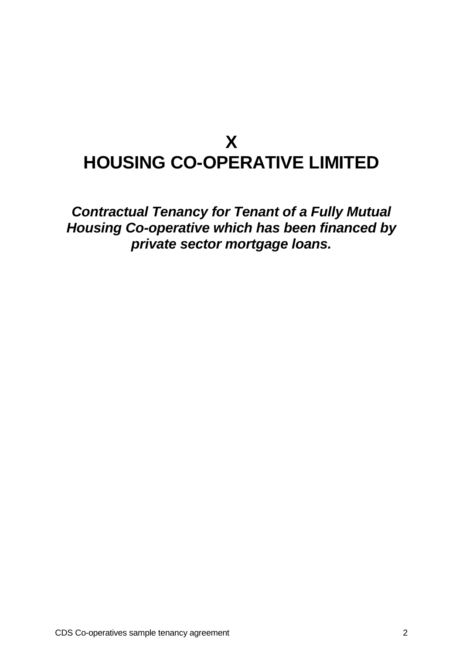# **X HOUSING CO-OPERATIVE LIMITED**

*Contractual Tenancy for Tenant of a Fully Mutual Housing Co-operative which has been financed by private sector mortgage loans.*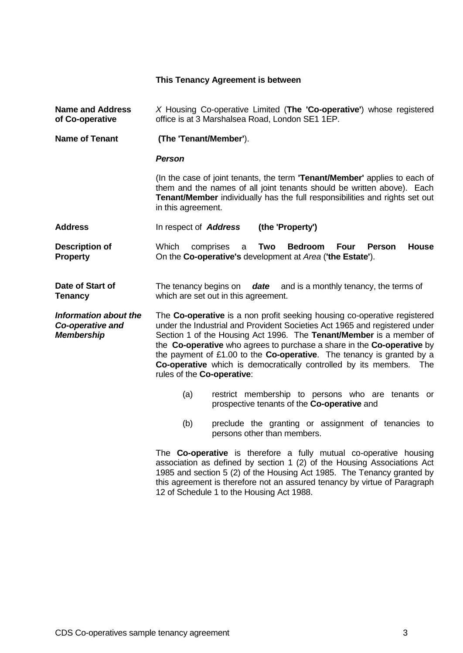#### **This Tenancy Agreement is between**

| <b>Name and Address</b><br>of Co-operative                     | X Housing Co-operative Limited (The 'Co-operative') whose registered<br>office is at 3 Marshalsea Road, London SE1 1EP.                                                                                                                                                                                                                                                                                                                                                               |  |  |
|----------------------------------------------------------------|---------------------------------------------------------------------------------------------------------------------------------------------------------------------------------------------------------------------------------------------------------------------------------------------------------------------------------------------------------------------------------------------------------------------------------------------------------------------------------------|--|--|
| <b>Name of Tenant</b>                                          | (The 'Tenant/Member').                                                                                                                                                                                                                                                                                                                                                                                                                                                                |  |  |
|                                                                | <b>Person</b>                                                                                                                                                                                                                                                                                                                                                                                                                                                                         |  |  |
|                                                                | (In the case of joint tenants, the term 'Tenant/Member' applies to each of<br>them and the names of all joint tenants should be written above). Each<br>Tenant/Member individually has the full responsibilities and rights set out<br>in this agreement.                                                                                                                                                                                                                             |  |  |
| <b>Address</b>                                                 | (the 'Property')<br>In respect of <b>Address</b>                                                                                                                                                                                                                                                                                                                                                                                                                                      |  |  |
| <b>Description of</b><br><b>Property</b>                       | Which<br>House<br>comprises<br>Two<br><b>Bedroom</b><br><b>Four</b><br><b>Person</b><br>a<br>On the Co-operative's development at Area ('the Estate').                                                                                                                                                                                                                                                                                                                                |  |  |
| Date of Start of<br><b>Tenancy</b>                             | The tenancy begins on date and is a monthly tenancy, the terms of<br>which are set out in this agreement.                                                                                                                                                                                                                                                                                                                                                                             |  |  |
| Information about the<br>Co-operative and<br><b>Membership</b> | The Co-operative is a non profit seeking housing co-operative registered<br>under the Industrial and Provident Societies Act 1965 and registered under<br>Section 1 of the Housing Act 1996. The Tenant/Member is a member of<br>the Co-operative who agrees to purchase a share in the Co-operative by<br>the payment of £1.00 to the Co-operative. The tenancy is granted by a<br>Co-operative which is democratically controlled by its members. The<br>rules of the Co-operative: |  |  |
|                                                                | restrict membership to persons who are tenants or<br>(a)<br>prospective tenants of the Co-operative and                                                                                                                                                                                                                                                                                                                                                                               |  |  |
|                                                                | (b)<br>preclude the granting or assignment of tenancies to<br>persons other than members.                                                                                                                                                                                                                                                                                                                                                                                             |  |  |
|                                                                | The Co-operative is therefore a fully mutual co-operative housing<br>association as defined by section 1 (2) of the Housing Associations Act<br>1985 and section 5 (2) of the Housing Act 1985. The Tenancy granted by<br>this agreement is therefore not an assured tenancy by virtue of Paragraph                                                                                                                                                                                   |  |  |

12 of Schedule 1 to the Housing Act 1988.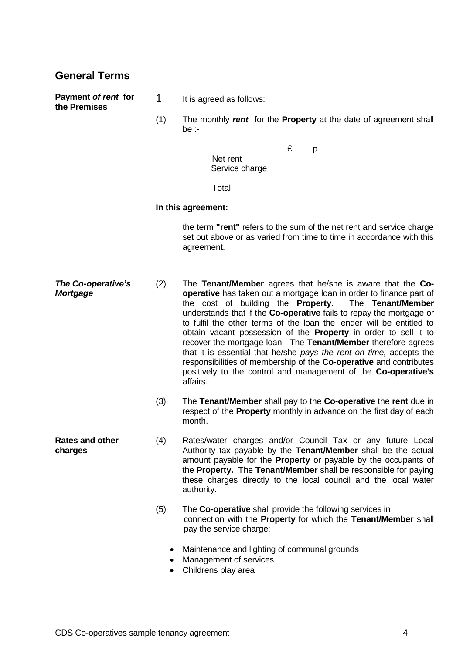| <b>General Terms</b>                  |     |                                                                                                                                                                                                                                                                                                                                                                                                                                                                                                                                                                                                                                                                                                                    |
|---------------------------------------|-----|--------------------------------------------------------------------------------------------------------------------------------------------------------------------------------------------------------------------------------------------------------------------------------------------------------------------------------------------------------------------------------------------------------------------------------------------------------------------------------------------------------------------------------------------------------------------------------------------------------------------------------------------------------------------------------------------------------------------|
| Payment of rent for<br>the Premises   | 1   | It is agreed as follows:                                                                                                                                                                                                                                                                                                                                                                                                                                                                                                                                                                                                                                                                                           |
|                                       | (1) | The monthly rent for the Property at the date of agreement shall<br>be :-                                                                                                                                                                                                                                                                                                                                                                                                                                                                                                                                                                                                                                          |
|                                       |     | £<br>p                                                                                                                                                                                                                                                                                                                                                                                                                                                                                                                                                                                                                                                                                                             |
|                                       |     | Net rent<br>Service charge                                                                                                                                                                                                                                                                                                                                                                                                                                                                                                                                                                                                                                                                                         |
|                                       |     | Total                                                                                                                                                                                                                                                                                                                                                                                                                                                                                                                                                                                                                                                                                                              |
|                                       |     | In this agreement:                                                                                                                                                                                                                                                                                                                                                                                                                                                                                                                                                                                                                                                                                                 |
|                                       |     | the term "rent" refers to the sum of the net rent and service charge<br>set out above or as varied from time to time in accordance with this<br>agreement.                                                                                                                                                                                                                                                                                                                                                                                                                                                                                                                                                         |
| The Co-operative's<br><b>Mortgage</b> | (2) | The Tenant/Member agrees that he/she is aware that the Co-<br>operative has taken out a mortgage loan in order to finance part of<br>the cost of building the <b>Property</b> .<br>The Tenant/Member<br>understands that if the Co-operative fails to repay the mortgage or<br>to fulfil the other terms of the loan the lender will be entitled to<br>obtain vacant possession of the Property in order to sell it to<br>recover the mortgage loan. The Tenant/Member therefore agrees<br>that it is essential that he/she pays the rent on time, accepts the<br>responsibilities of membership of the Co-operative and contributes<br>positively to the control and management of the Co-operative's<br>affairs. |
|                                       | (3) | The Tenant/Member shall pay to the Co-operative the rent due in<br>respect of the Property monthly in advance on the first day of each<br>month.                                                                                                                                                                                                                                                                                                                                                                                                                                                                                                                                                                   |
| <b>Rates and other</b><br>charges     | (4) | Rates/water charges and/or Council Tax or any future Local<br>Authority tax payable by the Tenant/Member shall be the actual<br>amount payable for the Property or payable by the occupants of<br>the Property. The Tenant/Member shall be responsible for paying<br>these charges directly to the local council and the local water<br>authority.                                                                                                                                                                                                                                                                                                                                                                 |
|                                       | (5) | The Co-operative shall provide the following services in<br>connection with the Property for which the Tenant/Member shall<br>pay the service charge:                                                                                                                                                                                                                                                                                                                                                                                                                                                                                                                                                              |
|                                       | ٠   | Maintenance and lighting of communal grounds<br>Management of services<br>Childrens play area                                                                                                                                                                                                                                                                                                                                                                                                                                                                                                                                                                                                                      |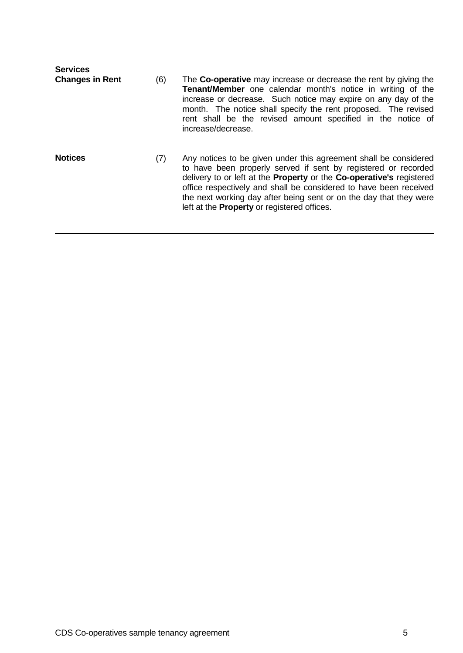| <b>Services</b><br><b>Changes in Rent</b> | (6) | The Co-operative may increase or decrease the rent by giving the<br><b>Tenant/Member</b> one calendar month's notice in writing of the<br>increase or decrease. Such notice may expire on any day of the<br>month. The notice shall specify the rent proposed. The revised<br>rent shall be the revised amount specified in the notice of<br>increase/decrease.                                             |
|-------------------------------------------|-----|-------------------------------------------------------------------------------------------------------------------------------------------------------------------------------------------------------------------------------------------------------------------------------------------------------------------------------------------------------------------------------------------------------------|
| <b>Notices</b>                            | (7) | Any notices to be given under this agreement shall be considered<br>to have been properly served if sent by registered or recorded<br>delivery to or left at the Property or the Co-operative's registered<br>office respectively and shall be considered to have been received<br>the next working day after being sent or on the day that they were<br>left at the <b>Property</b> or registered offices. |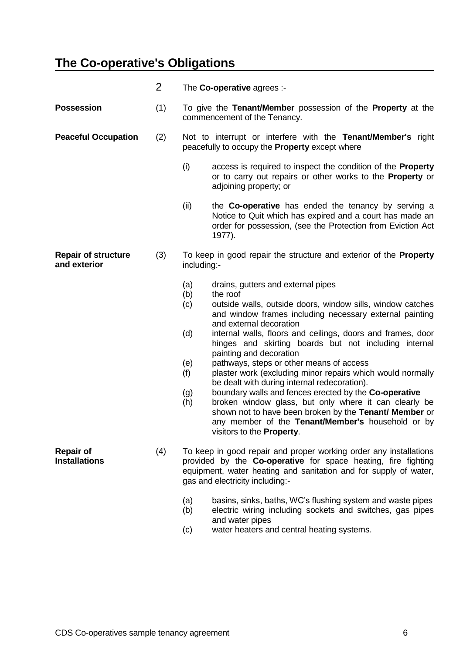### **The Co-operative's Obligations**

|                                            | $\overline{2}$ | The Co-operative agrees :-                                                                                                                                                                                                                                                                                                                                                                                                                                                                                                                                                                                                                                                                                                                                                                                                            |
|--------------------------------------------|----------------|---------------------------------------------------------------------------------------------------------------------------------------------------------------------------------------------------------------------------------------------------------------------------------------------------------------------------------------------------------------------------------------------------------------------------------------------------------------------------------------------------------------------------------------------------------------------------------------------------------------------------------------------------------------------------------------------------------------------------------------------------------------------------------------------------------------------------------------|
| <b>Possession</b>                          | (1)            | To give the Tenant/Member possession of the Property at the<br>commencement of the Tenancy.                                                                                                                                                                                                                                                                                                                                                                                                                                                                                                                                                                                                                                                                                                                                           |
| <b>Peaceful Occupation</b>                 | (2)            | Not to interrupt or interfere with the Tenant/Member's right<br>peacefully to occupy the <b>Property</b> except where                                                                                                                                                                                                                                                                                                                                                                                                                                                                                                                                                                                                                                                                                                                 |
|                                            |                | (i)<br>access is required to inspect the condition of the <b>Property</b><br>or to carry out repairs or other works to the <b>Property</b> or<br>adjoining property; or                                                                                                                                                                                                                                                                                                                                                                                                                                                                                                                                                                                                                                                               |
|                                            |                | (ii)<br>the <b>Co-operative</b> has ended the tenancy by serving a<br>Notice to Quit which has expired and a court has made an<br>order for possession, (see the Protection from Eviction Act<br>1977).                                                                                                                                                                                                                                                                                                                                                                                                                                                                                                                                                                                                                               |
| <b>Repair of structure</b><br>and exterior | (3)            | To keep in good repair the structure and exterior of the <b>Property</b><br>including:-                                                                                                                                                                                                                                                                                                                                                                                                                                                                                                                                                                                                                                                                                                                                               |
|                                            |                | (a)<br>drains, gutters and external pipes<br>(b)<br>the roof<br>outside walls, outside doors, window sills, window catches<br>(c)<br>and window frames including necessary external painting<br>and external decoration<br>(d)<br>internal walls, floors and ceilings, doors and frames, door<br>hinges and skirting boards but not including internal<br>painting and decoration<br>(e)<br>pathways, steps or other means of access<br>plaster work (excluding minor repairs which would normally<br>(f)<br>be dealt with during internal redecoration).<br>boundary walls and fences erected by the Co-operative<br>(g)<br>broken window glass, but only where it can clearly be<br>(h)<br>shown not to have been broken by the Tenant/ Member or<br>any member of the Tenant/Member's household or by<br>visitors to the Property. |
| <b>Repair of</b><br><b>Installations</b>   | (4)            | To keep in good repair and proper working order any installations<br>provided by the Co-operative for space heating, fire fighting<br>equipment, water heating and sanitation and for supply of water,<br>gas and electricity including:-<br>(a)<br>basins, sinks, baths, WC's flushing system and waste pipes<br>electric wiring including sockets and switches, gas pipes<br>(b)<br>and water pipes<br>water heaters and central heating systems.<br>(c)                                                                                                                                                                                                                                                                                                                                                                            |
|                                            |                |                                                                                                                                                                                                                                                                                                                                                                                                                                                                                                                                                                                                                                                                                                                                                                                                                                       |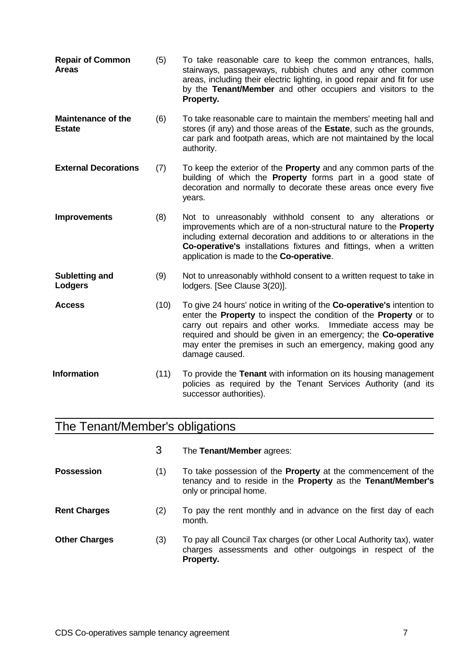| <b>Repair of Common</b><br><b>Areas</b>    | (5)  | To take reasonable care to keep the common entrances, halls,<br>stairways, passageways, rubbish chutes and any other common<br>areas, including their electric lighting, in good repair and fit for use<br>by the Tenant/Member and other occupiers and visitors to the<br>Property.                                                                          |
|--------------------------------------------|------|---------------------------------------------------------------------------------------------------------------------------------------------------------------------------------------------------------------------------------------------------------------------------------------------------------------------------------------------------------------|
| <b>Maintenance of the</b><br><b>Estate</b> | (6)  | To take reasonable care to maintain the members' meeting hall and<br>stores (if any) and those areas of the Estate, such as the grounds,<br>car park and footpath areas, which are not maintained by the local<br>authority.                                                                                                                                  |
| <b>External Decorations</b>                | (7)  | To keep the exterior of the <b>Property</b> and any common parts of the<br>building of which the Property forms part in a good state of<br>decoration and normally to decorate these areas once every five<br>years.                                                                                                                                          |
| <b>Improvements</b>                        | (8)  | Not to unreasonably withhold consent to any alterations or<br>improvements which are of a non-structural nature to the Property<br>including external decoration and additions to or alterations in the<br>Co-operative's installations fixtures and fittings, when a written<br>application is made to the Co-operative.                                     |
| <b>Subletting and</b><br>Lodgers           | (9)  | Not to unreasonably withhold consent to a written request to take in<br>lodgers. [See Clause 3(20)].                                                                                                                                                                                                                                                          |
| <b>Access</b>                              | (10) | To give 24 hours' notice in writing of the Co-operative's intention to<br>enter the Property to inspect the condition of the Property or to<br>carry out repairs and other works. Immediate access may be<br>required and should be given in an emergency; the Co-operative<br>may enter the premises in such an emergency, making good any<br>damage caused. |
| <b>Information</b>                         | (11) | To provide the Tenant with information on its housing management<br>policies as required by the Tenant Services Authority (and its<br>successor authorities).                                                                                                                                                                                                 |

## The Tenant/Member's obligations

|                      | 3   | The Tenant/Member agrees:                                                                                                                                       |
|----------------------|-----|-----------------------------------------------------------------------------------------------------------------------------------------------------------------|
| <b>Possession</b>    | (1) | To take possession of the <b>Property</b> at the commencement of the<br>tenancy and to reside in the Property as the Tenant/Member's<br>only or principal home. |
| <b>Rent Charges</b>  | (2) | To pay the rent monthly and in advance on the first day of each<br>month.                                                                                       |
| <b>Other Charges</b> | (3) | To pay all Council Tax charges (or other Local Authority tax), water<br>charges assessments and other outgoings in respect of the<br>Property.                  |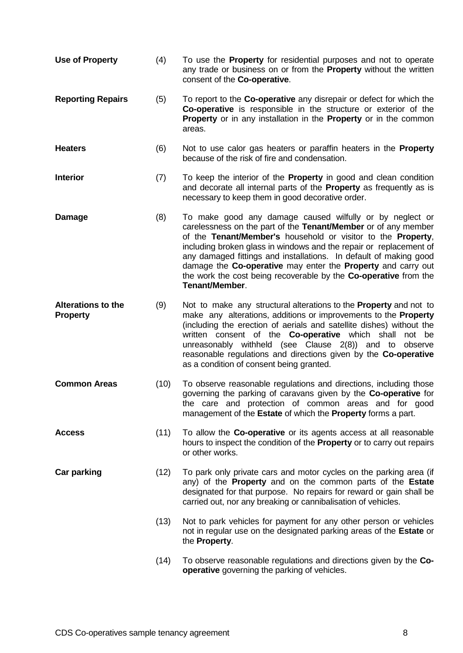| Use of Property                              | (4)  | To use the <b>Property</b> for residential purposes and not to operate<br>any trade or business on or from the <b>Property</b> without the written<br>consent of the Co-operative.                                                                                                                                                                                                                                                                                                          |
|----------------------------------------------|------|---------------------------------------------------------------------------------------------------------------------------------------------------------------------------------------------------------------------------------------------------------------------------------------------------------------------------------------------------------------------------------------------------------------------------------------------------------------------------------------------|
| <b>Reporting Repairs</b>                     | (5)  | To report to the <b>Co-operative</b> any disrepair or defect for which the<br><b>Co-operative</b> is responsible in the structure or exterior of the<br>Property or in any installation in the Property or in the common<br>areas.                                                                                                                                                                                                                                                          |
| <b>Heaters</b>                               | (6)  | Not to use calor gas heaters or paraffin heaters in the <b>Property</b><br>because of the risk of fire and condensation.                                                                                                                                                                                                                                                                                                                                                                    |
| <b>Interior</b>                              | (7)  | To keep the interior of the <b>Property</b> in good and clean condition<br>and decorate all internal parts of the <b>Property</b> as frequently as is<br>necessary to keep them in good decorative order.                                                                                                                                                                                                                                                                                   |
| <b>Damage</b>                                | (8)  | To make good any damage caused wilfully or by neglect or<br>carelessness on the part of the Tenant/Member or of any member<br>of the Tenant/Member's household or visitor to the Property,<br>including broken glass in windows and the repair or replacement of<br>any damaged fittings and installations. In default of making good<br>damage the Co-operative may enter the Property and carry out<br>the work the cost being recoverable by the Co-operative from the<br>Tenant/Member. |
| <b>Alterations to the</b><br><b>Property</b> | (9)  | Not to make any structural alterations to the <b>Property</b> and not to<br>make any alterations, additions or improvements to the Property<br>(including the erection of aerials and satellite dishes) without the<br>written consent of the Co-operative which shall not be<br>unreasonably withheld (see Clause 2(8)) and to<br>observe<br>reasonable regulations and directions given by the Co-operative<br>as a condition of consent being granted.                                   |
| <b>Common Areas</b>                          | (10) | To observe reasonable regulations and directions, including those<br>governing the parking of caravans given by the Co-operative for<br>the care and protection of common areas and for good<br>management of the Estate of which the Property forms a part.                                                                                                                                                                                                                                |
| <b>Access</b>                                | (11) | To allow the Co-operative or its agents access at all reasonable<br>hours to inspect the condition of the <b>Property</b> or to carry out repairs<br>or other works.                                                                                                                                                                                                                                                                                                                        |
| <b>Car parking</b>                           | (12) | To park only private cars and motor cycles on the parking area (if<br>any) of the <b>Property</b> and on the common parts of the <b>Estate</b><br>designated for that purpose. No repairs for reward or gain shall be<br>carried out, nor any breaking or cannibalisation of vehicles.                                                                                                                                                                                                      |
|                                              | (13) | Not to park vehicles for payment for any other person or vehicles<br>not in regular use on the designated parking areas of the Estate or<br>the Property.                                                                                                                                                                                                                                                                                                                                   |
|                                              | (14) | To observe reasonable regulations and directions given by the Co-<br>operative governing the parking of vehicles.                                                                                                                                                                                                                                                                                                                                                                           |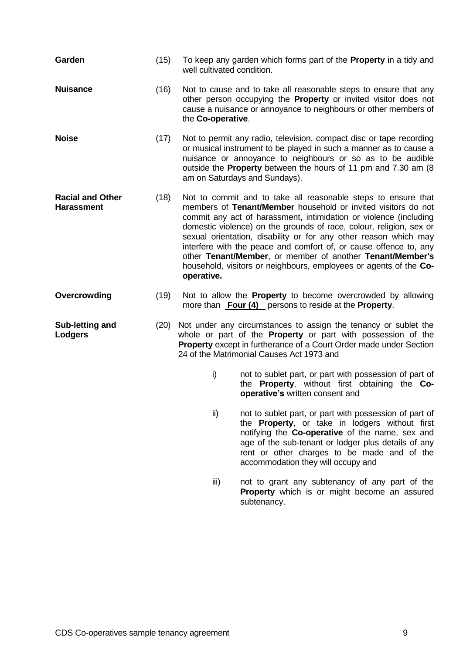| Garden                                       | (15) | To keep any garden which forms part of the <b>Property</b> in a tidy and<br>well cultivated condition.                                                                                                                                                                                                                                                                                                                                                                                                                                                              |
|----------------------------------------------|------|---------------------------------------------------------------------------------------------------------------------------------------------------------------------------------------------------------------------------------------------------------------------------------------------------------------------------------------------------------------------------------------------------------------------------------------------------------------------------------------------------------------------------------------------------------------------|
| <b>Nuisance</b>                              | (16) | Not to cause and to take all reasonable steps to ensure that any<br>other person occupying the Property or invited visitor does not<br>cause a nuisance or annoyance to neighbours or other members of<br>the Co-operative.                                                                                                                                                                                                                                                                                                                                         |
| <b>Noise</b>                                 | (17) | Not to permit any radio, television, compact disc or tape recording<br>or musical instrument to be played in such a manner as to cause a<br>nuisance or annoyance to neighbours or so as to be audible<br>outside the <b>Property</b> between the hours of 11 pm and 7.30 am (8)<br>am on Saturdays and Sundays).                                                                                                                                                                                                                                                   |
| <b>Racial and Other</b><br><b>Harassment</b> | (18) | Not to commit and to take all reasonable steps to ensure that<br>members of Tenant/Member household or invited visitors do not<br>commit any act of harassment, intimidation or violence (including<br>domestic violence) on the grounds of race, colour, religion, sex or<br>sexual orientation, disability or for any other reason which may<br>interfere with the peace and comfort of, or cause offence to, any<br>other Tenant/Member, or member of another Tenant/Member's<br>household, visitors or neighbours, employees or agents of the Co-<br>operative. |
| Overcrowding                                 | (19) | Not to allow the <b>Property</b> to become overcrowded by allowing<br>more than <b>Four (4)</b> persons to reside at the <b>Property</b> .                                                                                                                                                                                                                                                                                                                                                                                                                          |
| Sub-letting and<br><b>Lodgers</b>            | (20) | Not under any circumstances to assign the tenancy or sublet the<br>whole or part of the <b>Property</b> or part with possession of the<br>Property except in furtherance of a Court Order made under Section<br>24 of the Matrimonial Causes Act 1973 and                                                                                                                                                                                                                                                                                                           |
|                                              |      | i)<br>not to sublet part, or part with possession of part of<br>the <b>Property</b> , without first obtaining the Co-<br>operative's written consent and                                                                                                                                                                                                                                                                                                                                                                                                            |
|                                              |      | $\mathsf{ii}$<br>not to sublet part, or part with possession of part of<br>the Property, or take in lodgers without first<br>notifying the Co-operative of the name, sex and<br>age of the sub-tenant or lodger plus details of any<br>rent or other charges to be made and of the<br>accommodation they will occupy and                                                                                                                                                                                                                                            |

iii) not to grant any subtenancy of any part of the **Property** which is or might become an assured subtenancy.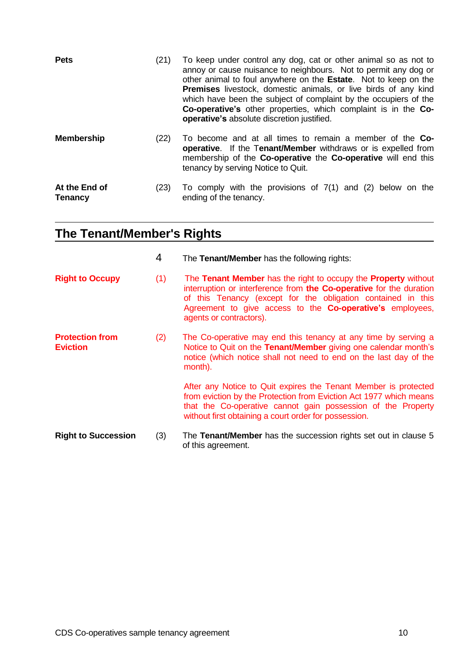| <b>Pets</b>                     | (21) | To keep under control any dog, cat or other animal so as not to<br>annoy or cause nuisance to neighbours. Not to permit any dog or<br>other animal to foul anywhere on the Estate. Not to keep on the<br><b>Premises</b> livestock, domestic animals, or live birds of any kind<br>which have been the subject of complaint by the occupiers of the<br>Co-operative's other properties, which complaint is in the Co-<br><b>operative's</b> absolute discretion justified. |
|---------------------------------|------|----------------------------------------------------------------------------------------------------------------------------------------------------------------------------------------------------------------------------------------------------------------------------------------------------------------------------------------------------------------------------------------------------------------------------------------------------------------------------|
| <b>Membership</b>               | (22) | To become and at all times to remain a member of the <b>Co-</b><br><b>operative.</b> If the Tenant/Member withdraws or is expelled from<br>membership of the Co-operative the Co-operative will end this<br>tenancy by serving Notice to Quit.                                                                                                                                                                                                                             |
| At the End of<br><b>Tenancy</b> | (23) | To comply with the provisions of $7(1)$ and $(2)$ below on the<br>ending of the tenancy.                                                                                                                                                                                                                                                                                                                                                                                   |

### **The Tenant/Member's Rights**

|                                           | 4   | The Tenant/Member has the following rights:                                                                                                                                                                                                                                                          |
|-------------------------------------------|-----|------------------------------------------------------------------------------------------------------------------------------------------------------------------------------------------------------------------------------------------------------------------------------------------------------|
| <b>Right to Occupy</b>                    | (1) | The Tenant Member has the right to occupy the Property without<br>interruption or interference from the Co-operative for the duration<br>of this Tenancy (except for the obligation contained in this<br>Agreement to give access to the <b>Co-operative's</b> employees,<br>agents or contractors). |
| <b>Protection from</b><br><b>Eviction</b> | (2) | The Co-operative may end this tenancy at any time by serving a<br>Notice to Quit on the Tenant/Member giving one calendar month's<br>notice (which notice shall not need to end on the last day of the<br>month).                                                                                    |
|                                           |     | After any Notice to Quit expires the Tenant Member is protected<br>from eviction by the Protection from Eviction Act 1977 which means<br>that the Co-operative cannot gain possession of the Property<br>without first obtaining a court order for possession.                                       |
| <b>Right to Succession</b>                | (3) | The Tenant/Member has the succession rights set out in clause 5<br>of this agreement.                                                                                                                                                                                                                |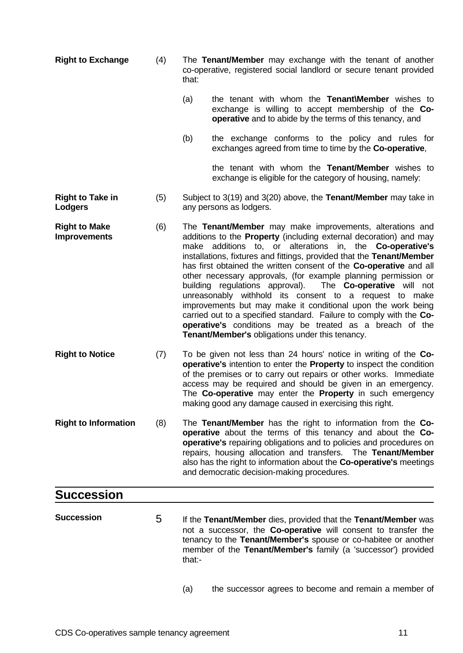- **Right to Exchange** (4) The **Tenant/Member** may exchange with the tenant of another co-operative, registered social landlord or secure tenant provided that:
	- (a) the tenant with whom the **Tenant\Member** wishes to exchange is willing to accept membership of the **Cooperative** and to abide by the terms of this tenancy, and
	- (b) the exchange conforms to the policy and rules for exchanges agreed from time to time by the **Co-operative**,

the tenant with whom the **Tenant/Member** wishes to exchange is eligible for the category of housing, namely:

- **Right to Take in Lodgers** (5) Subject to 3(19) and 3(20) above, the **Tenant/Member** may take in any persons as lodgers.
- **Right to Make Improvements** (6) The **Tenant/Member** may make improvements, alterations and additions to the **Property** (including external decoration) and may make additions to, or alterations in, the **Co-operative's** installations, fixtures and fittings, provided that the **Tenant/Member** has first obtained the written consent of the **Co-operative** and all other necessary approvals, (for example planning permission or building regulations approval). The **Co-operative** will not unreasonably withhold its consent to a request to make improvements but may make it conditional upon the work being carried out to a specified standard. Failure to comply with the **Cooperative's** conditions may be treated as a breach of the **Tenant/Member's** obligations under this tenancy.
- **Right to Notice** (7) To be given not less than 24 hours' notice in writing of the **Cooperative's** intention to enter the **Property** to inspect the condition of the premises or to carry out repairs or other works. Immediate access may be required and should be given in an emergency. The **Co-operative** may enter the **Property** in such emergency making good any damage caused in exercising this right.
- **Right to Information** (8) The **Tenant/Member** has the right to information from the **Cooperative** about the terms of this tenancy and about the **Cooperative's** repairing obligations and to policies and procedures on repairs, housing allocation and transfers. The **Tenant/Member** also has the right to information about the **Co-operative's** meetings and democratic decision-making procedures.

# **Succession**

- **Succession** 5 If the **Tenant/Member** dies, provided that the **Tenant/Member** was not a successor, the **Co-operative** will consent to transfer the tenancy to the **Tenant/Member's** spouse or co-habitee or another member of the **Tenant/Member's** family (a 'successor') provided that:-
	- (a) the successor agrees to become and remain a member of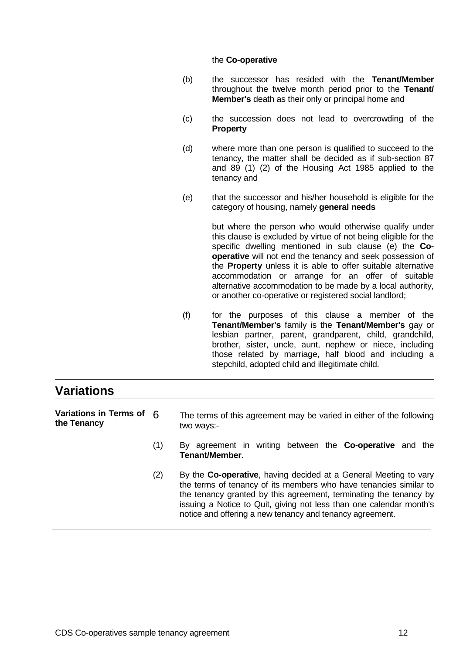#### the **Co-operative**

- (b) the successor has resided with the **Tenant/Member** throughout the twelve month period prior to the **Tenant/ Member's** death as their only or principal home and
- (c) the succession does not lead to overcrowding of the **Property**
- (d) where more than one person is qualified to succeed to the tenancy, the matter shall be decided as if sub-section 87 and 89 (1) (2) of the Housing Act 1985 applied to the tenancy and
- (e) that the successor and his/her household is eligible for the category of housing, namely **general needs**

but where the person who would otherwise qualify under this clause is excluded by virtue of not being eligible for the specific dwelling mentioned in sub clause (e) the **Cooperative** will not end the tenancy and seek possession of the **Property** unless it is able to offer suitable alternative accommodation or arrange for an offer of suitable alternative accommodation to be made by a local authority, or another co-operative or registered social landlord;

(f) for the purposes of this clause a member of the **Tenant/Member's** family is the **Tenant/Member's** gay or lesbian partner, parent, grandparent, child, grandchild, brother, sister, uncle, aunt, nephew or niece, including those related by marriage, half blood and including a stepchild, adopted child and illegitimate child.

#### **Variations Variations in Terms of the Tenancy** The terms of this agreement may be varied in either of the following two ways:- (1) By agreement in writing between the **Co-operative** and the

- **Tenant/Member**.
- (2) By the **Co-operative**, having decided at a General Meeting to vary the terms of tenancy of its members who have tenancies similar to the tenancy granted by this agreement, terminating the tenancy by issuing a Notice to Quit, giving not less than one calendar month's notice and offering a new tenancy and tenancy agreement.